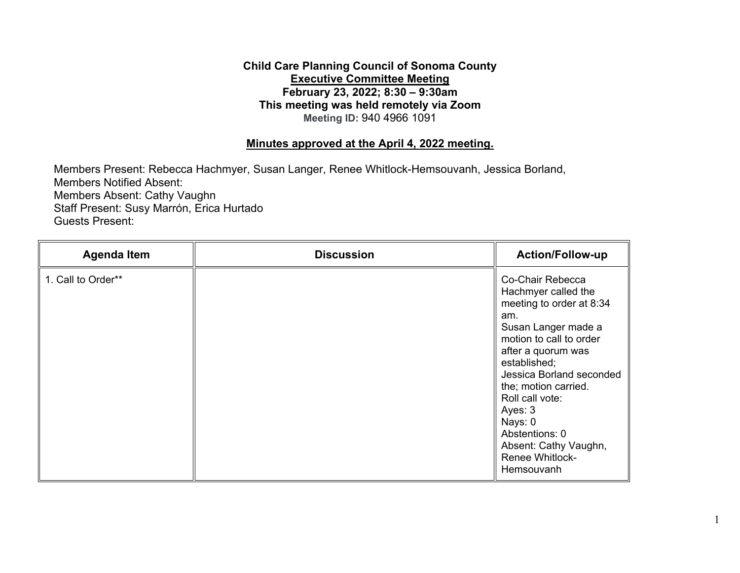## **February 23, 2022; 8:30 – 9:30am Child Care Planning Council of Sonoma County Executive Committee Meeting This meeting was held remotely via Zoom Meeting ID:** 940 4966 1091

## **Minutes approved at the April 4, 2022 meeting.**

Members Present: Rebecca Hachmyer, Susan Langer, Renee Whitlock-Hemsouvanh, Jessica Borland, Members Notified Absent: Members Absent: Cathy Vaughn Staff Present: Susy Marrón, Erica Hurtado Guests Present:

| <b>Agenda Item</b> | <b>Discussion</b> | <b>Action/Follow-up</b>                                                                                                                                                                                                                                                                                                                            |
|--------------------|-------------------|----------------------------------------------------------------------------------------------------------------------------------------------------------------------------------------------------------------------------------------------------------------------------------------------------------------------------------------------------|
| 1. Call to Order** |                   | Co-Chair Rebecca<br>Hachmyer called the<br>meeting to order at 8:34<br>am.<br>Susan Langer made a<br>motion to call to order<br>after a quorum was<br>established;<br>Jessica Borland seconded<br>the; motion carried.<br>Roll call vote:<br>Ayes: 3<br>Nays: 0<br>Abstentions: 0<br>Absent: Cathy Vaughn,<br><b>Renee Whitlock-</b><br>Hemsouvanh |

1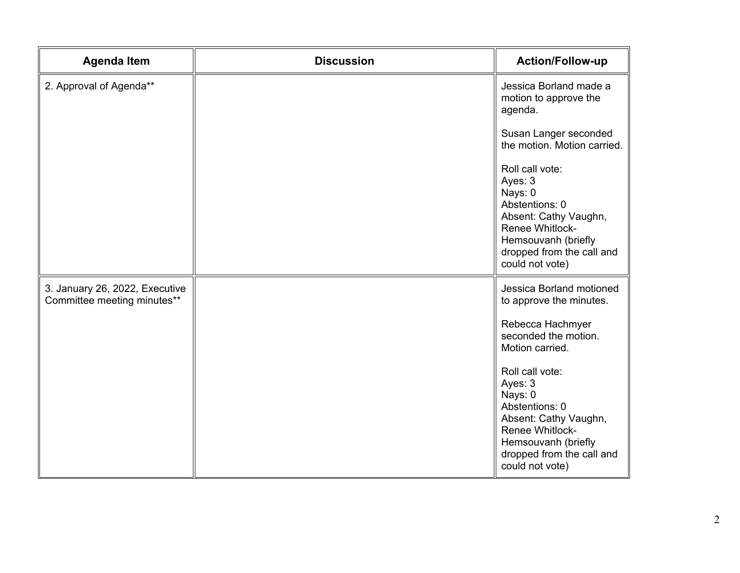| <b>Agenda Item</b>                                            | <b>Discussion</b> | <b>Action/Follow-up</b>                                                                                                                                                    |
|---------------------------------------------------------------|-------------------|----------------------------------------------------------------------------------------------------------------------------------------------------------------------------|
| 2. Approval of Agenda**                                       |                   | Jessica Borland made a<br>motion to approve the<br>agenda.                                                                                                                 |
|                                                               |                   | Susan Langer seconded<br>the motion. Motion carried.                                                                                                                       |
|                                                               |                   | Roll call vote:<br>Ayes: 3<br>Nays: 0<br>Abstentions: 0<br>Absent: Cathy Vaughn,<br>Renee Whitlock-<br>Hemsouvanh (briefly<br>dropped from the call and<br>could not vote) |
| 3. January 26, 2022, Executive<br>Committee meeting minutes** |                   | Jessica Borland motioned<br>to approve the minutes.                                                                                                                        |
|                                                               |                   | Rebecca Hachmyer<br>seconded the motion.<br>Motion carried.                                                                                                                |
|                                                               |                   | Roll call vote:<br>Ayes: 3<br>Nays: 0<br>Abstentions: 0<br>Absent: Cathy Vaughn,<br>Renee Whitlock-<br>Hemsouvanh (briefly<br>dropped from the call and<br>could not vote) |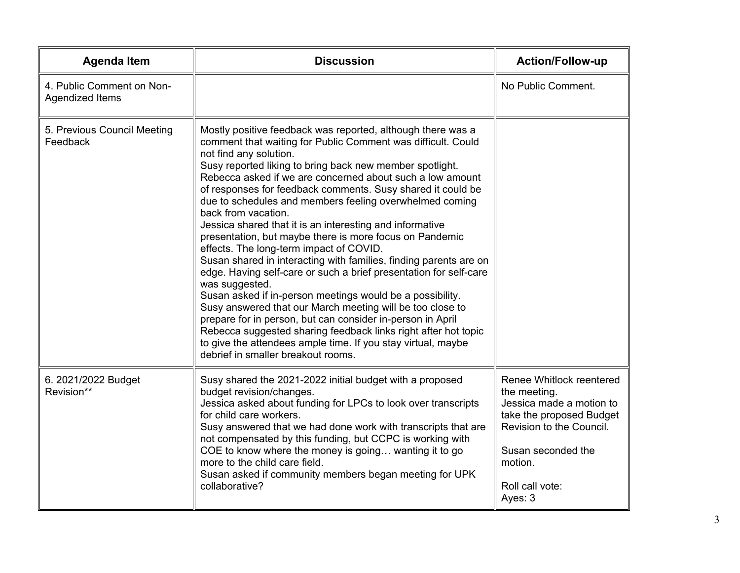| <b>Agenda Item</b>                           | <b>Discussion</b>                                                                                                                                                                                                                                                                                                                                                                                                                                                                                                                                                                                                                                                                                                                                                                                                                                                                                                                                                                                                                                                                                                             | <b>Action/Follow-up</b>                                                                                                                                                                     |
|----------------------------------------------|-------------------------------------------------------------------------------------------------------------------------------------------------------------------------------------------------------------------------------------------------------------------------------------------------------------------------------------------------------------------------------------------------------------------------------------------------------------------------------------------------------------------------------------------------------------------------------------------------------------------------------------------------------------------------------------------------------------------------------------------------------------------------------------------------------------------------------------------------------------------------------------------------------------------------------------------------------------------------------------------------------------------------------------------------------------------------------------------------------------------------------|---------------------------------------------------------------------------------------------------------------------------------------------------------------------------------------------|
| 4. Public Comment on Non-<br>Agendized Items |                                                                                                                                                                                                                                                                                                                                                                                                                                                                                                                                                                                                                                                                                                                                                                                                                                                                                                                                                                                                                                                                                                                               | No Public Comment.                                                                                                                                                                          |
| 5. Previous Council Meeting<br>Feedback      | Mostly positive feedback was reported, although there was a<br>comment that waiting for Public Comment was difficult. Could<br>not find any solution.<br>Susy reported liking to bring back new member spotlight.<br>Rebecca asked if we are concerned about such a low amount<br>of responses for feedback comments. Susy shared it could be<br>due to schedules and members feeling overwhelmed coming<br>back from vacation.<br>Jessica shared that it is an interesting and informative<br>presentation, but maybe there is more focus on Pandemic<br>effects. The long-term impact of COVID.<br>Susan shared in interacting with families, finding parents are on<br>edge. Having self-care or such a brief presentation for self-care<br>was suggested.<br>Susan asked if in-person meetings would be a possibility.<br>Susy answered that our March meeting will be too close to<br>prepare for in person, but can consider in-person in April<br>Rebecca suggested sharing feedback links right after hot topic<br>to give the attendees ample time. If you stay virtual, maybe<br>debrief in smaller breakout rooms. |                                                                                                                                                                                             |
| 6. 2021/2022 Budget<br>Revision**            | Susy shared the 2021-2022 initial budget with a proposed<br>budget revision/changes.<br>Jessica asked about funding for LPCs to look over transcripts<br>for child care workers.<br>Susy answered that we had done work with transcripts that are<br>not compensated by this funding, but CCPC is working with<br>COE to know where the money is going wanting it to go<br>more to the child care field.<br>Susan asked if community members began meeting for UPK<br>collaborative?                                                                                                                                                                                                                                                                                                                                                                                                                                                                                                                                                                                                                                          | Renee Whitlock reentered<br>the meeting.<br>Jessica made a motion to<br>take the proposed Budget<br>Revision to the Council.<br>Susan seconded the<br>motion.<br>Roll call vote:<br>Ayes: 3 |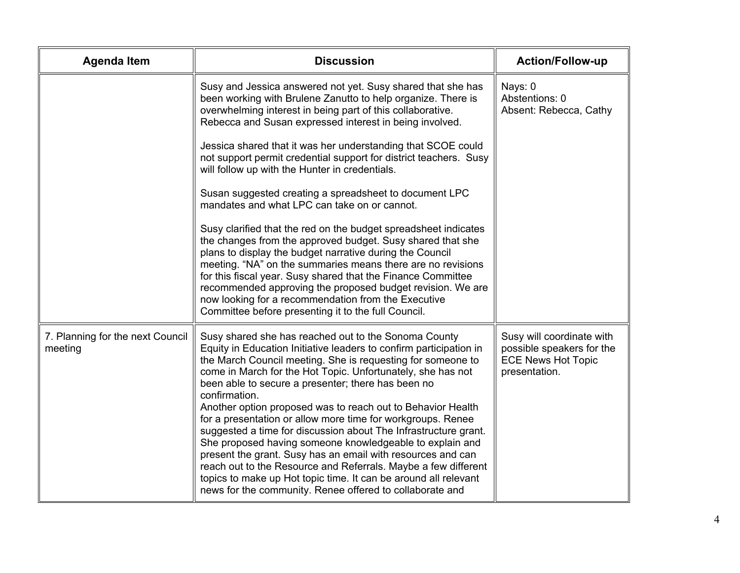| <b>Agenda Item</b>                          | <b>Discussion</b>                                                                                                                                                                                                                                                                                                                                                                                                                                                                                                                                                                                                                                                                                                                                                                                                                                            | <b>Action/Follow-up</b>                                                                              |
|---------------------------------------------|--------------------------------------------------------------------------------------------------------------------------------------------------------------------------------------------------------------------------------------------------------------------------------------------------------------------------------------------------------------------------------------------------------------------------------------------------------------------------------------------------------------------------------------------------------------------------------------------------------------------------------------------------------------------------------------------------------------------------------------------------------------------------------------------------------------------------------------------------------------|------------------------------------------------------------------------------------------------------|
|                                             | Susy and Jessica answered not yet. Susy shared that she has<br>been working with Brulene Zanutto to help organize. There is<br>overwhelming interest in being part of this collaborative.<br>Rebecca and Susan expressed interest in being involved.                                                                                                                                                                                                                                                                                                                                                                                                                                                                                                                                                                                                         | Nays: 0<br>Abstentions: 0<br>Absent: Rebecca, Cathy                                                  |
|                                             | Jessica shared that it was her understanding that SCOE could<br>not support permit credential support for district teachers. Susy<br>will follow up with the Hunter in credentials.                                                                                                                                                                                                                                                                                                                                                                                                                                                                                                                                                                                                                                                                          |                                                                                                      |
|                                             | Susan suggested creating a spreadsheet to document LPC<br>mandates and what LPC can take on or cannot.                                                                                                                                                                                                                                                                                                                                                                                                                                                                                                                                                                                                                                                                                                                                                       |                                                                                                      |
|                                             | Susy clarified that the red on the budget spreadsheet indicates<br>the changes from the approved budget. Susy shared that she<br>plans to display the budget narrative during the Council<br>meeting. "NA" on the summaries means there are no revisions<br>for this fiscal year. Susy shared that the Finance Committee<br>recommended approving the proposed budget revision. We are<br>now looking for a recommendation from the Executive<br>Committee before presenting it to the full Council.                                                                                                                                                                                                                                                                                                                                                         |                                                                                                      |
| 7. Planning for the next Council<br>meeting | Susy shared she has reached out to the Sonoma County<br>Equity in Education Initiative leaders to confirm participation in<br>the March Council meeting. She is requesting for someone to<br>come in March for the Hot Topic. Unfortunately, she has not<br>been able to secure a presenter; there has been no<br>confirmation.<br>Another option proposed was to reach out to Behavior Health<br>for a presentation or allow more time for workgroups. Renee<br>suggested a time for discussion about The Infrastructure grant.<br>She proposed having someone knowledgeable to explain and<br>present the grant. Susy has an email with resources and can<br>reach out to the Resource and Referrals. Maybe a few different<br>topics to make up Hot topic time. It can be around all relevant<br>news for the community. Renee offered to collaborate and | Susy will coordinate with<br>possible speakers for the<br><b>ECE News Hot Topic</b><br>presentation. |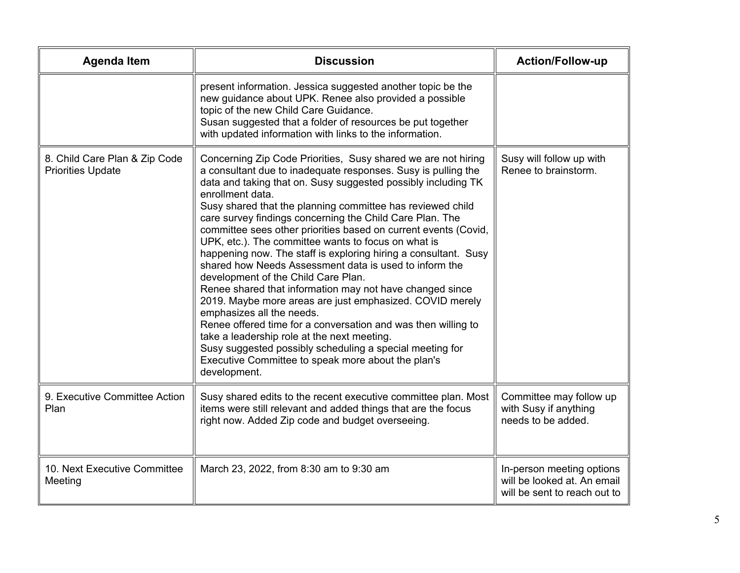| <b>Agenda Item</b>                                        | <b>Discussion</b>                                                                                                                                                                                                                                                                                                                                                                                                                                                                                                                                                                                                                                                                                                                                                                                                                                                                                                                                                                                                                                  | <b>Action/Follow-up</b>                                                                  |
|-----------------------------------------------------------|----------------------------------------------------------------------------------------------------------------------------------------------------------------------------------------------------------------------------------------------------------------------------------------------------------------------------------------------------------------------------------------------------------------------------------------------------------------------------------------------------------------------------------------------------------------------------------------------------------------------------------------------------------------------------------------------------------------------------------------------------------------------------------------------------------------------------------------------------------------------------------------------------------------------------------------------------------------------------------------------------------------------------------------------------|------------------------------------------------------------------------------------------|
|                                                           | present information. Jessica suggested another topic be the<br>new guidance about UPK. Renee also provided a possible<br>topic of the new Child Care Guidance.<br>Susan suggested that a folder of resources be put together<br>with updated information with links to the information.                                                                                                                                                                                                                                                                                                                                                                                                                                                                                                                                                                                                                                                                                                                                                            |                                                                                          |
| 8. Child Care Plan & Zip Code<br><b>Priorities Update</b> | Concerning Zip Code Priorities, Susy shared we are not hiring<br>a consultant due to inadequate responses. Susy is pulling the<br>data and taking that on. Susy suggested possibly including TK<br>enrollment data.<br>Susy shared that the planning committee has reviewed child<br>care survey findings concerning the Child Care Plan. The<br>committee sees other priorities based on current events (Covid,<br>UPK, etc.). The committee wants to focus on what is<br>happening now. The staff is exploring hiring a consultant. Susy<br>shared how Needs Assessment data is used to inform the<br>development of the Child Care Plan.<br>Renee shared that information may not have changed since<br>2019. Maybe more areas are just emphasized. COVID merely<br>emphasizes all the needs.<br>Renee offered time for a conversation and was then willing to<br>take a leadership role at the next meeting.<br>Susy suggested possibly scheduling a special meeting for<br>Executive Committee to speak more about the plan's<br>development. | Susy will follow up with<br>Renee to brainstorm.                                         |
| 9. Executive Committee Action<br>Plan                     | Susy shared edits to the recent executive committee plan. Most<br>items were still relevant and added things that are the focus<br>right now. Added Zip code and budget overseeing.                                                                                                                                                                                                                                                                                                                                                                                                                                                                                                                                                                                                                                                                                                                                                                                                                                                                | Committee may follow up<br>with Susy if anything<br>needs to be added.                   |
| 10. Next Executive Committee<br>Meeting                   | March 23, 2022, from 8:30 am to 9:30 am                                                                                                                                                                                                                                                                                                                                                                                                                                                                                                                                                                                                                                                                                                                                                                                                                                                                                                                                                                                                            | In-person meeting options<br>will be looked at. An email<br>will be sent to reach out to |